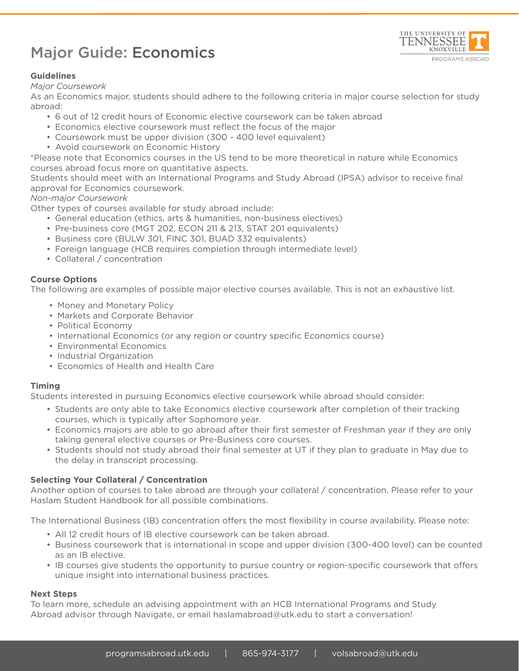# Major Guide: Economics



## **Guidelines**

#### *Major Coursework*

As an Economics major, students should adhere to the following criteria in major course selection for study abroad:

- 6 out of 12 credit hours of Economic elective coursework can be taken abroad
- Economics elective coursework must reflect the focus of the major
- Coursework must be upper division (300 400 level equivalent)
- Avoid coursework on Economic History

\*Please note that Economics courses in the US tend to be more theoretical in nature while Economics courses abroad focus more on quantitative aspects.

Students should meet with an International Programs and Study Abroad (IPSA) advisor to receive final approval for Economics coursework.

### *Non-major Coursework*

Other types of courses available for study abroad include:

- General education (ethics, arts & humanities, non-business electives)
- Pre-business core (MGT 202, ECON 211 & 213, STAT 201 equivalents)
- Business core (BULW 301, FINC 301, BUAD 332 equivalents)
- Foreign language (HCB requires completion through intermediate level)
- Collateral / concentration

## **Course Options**

The following are examples of possible major elective courses available. This is not an exhaustive list.

- Money and Monetary Policy
- Markets and Corporate Behavior
- Political Economy
- International Economics (or any region or country specific Economics course)
- Environmental Economics
- Industrial Organization
- Economics of Health and Health Care

### **Timing**

Students interested in pursuing Economics elective coursework while abroad should consider:

- Students are only able to take Economics elective coursework after completion of their tracking courses, which is typically after Sophomore year.
- Economics majors are able to go abroad after their first semester of Freshman year if they are only taking general elective courses or Pre-Business core courses.
- Students should not study abroad their final semester at UT if they plan to graduate in May due to the delay in transcript processing.

### **Selecting Your Collateral / Concentration**

Another option of courses to take abroad are through your collateral / concentration. Please refer to your Haslam Student Handbook for all possible combinations.

The International Business (IB) concentration offers the most flexibility in course availability. Please note:

- All 12 credit hours of IB elective coursework can be taken abroad.
- Business coursework that is international in scope and upper division (300-400 level) can be counted as an IB elective.
- IB courses give students the opportunity to pursue country or region-specific coursework that offers unique insight into international business practices.

### **Next Steps**

To learn more, schedule an advising appointment with an HCB International Programs and Study Abroad advisor through Navigate, or email haslamabroad@utk.edu to start a conversation!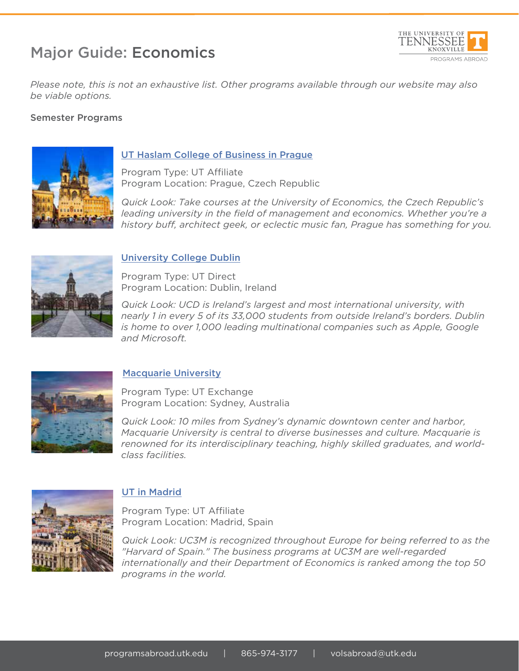# Major Guide: Economics



*Please note, this is not an exhaustive list. Other programs available through our website may also be viable options.*

## Semester Programs



## UT Haslam College of Business in Prague

Program Type: UT Affiliate Program Location: Prague, Czech Republic

*Quick Look: Take courses at the University of Economics, the Czech Republic's leading university in the field of management and economics. Whether you're a history buff, architect geek, or eclectic music fan, Prague has something for you.*



# University College Dublin

Program Type: UT Direct Program Location: Dublin, Ireland

*Quick Look: UCD is Ireland's largest and most international university, with nearly 1 in every 5 of its 33,000 students from outside Ireland's borders. Dublin is home to over 1,000 leading multinational companies such as Apple, Google and Microsoft.*



# Macquarie University

Program Type: UT Exchange Program Location: Sydney, Australia

*Quick Look: 10 miles from Sydney's dynamic downtown center and harbor, Macquarie University is central to diverse businesses and culture. Macquarie is renowned for its interdisciplinary teaching, highly skilled graduates, and worldclass facilities.*



# UT in Madrid

Program Type: UT Affiliate Program Location: Madrid, Spain

*Quick Look: UC3M is recognized throughout Europe for being referred to as the "Harvard of Spain." The business programs at UC3M are well-regarded internationally and their Department of Economics is ranked among the top 50 programs in the world.*